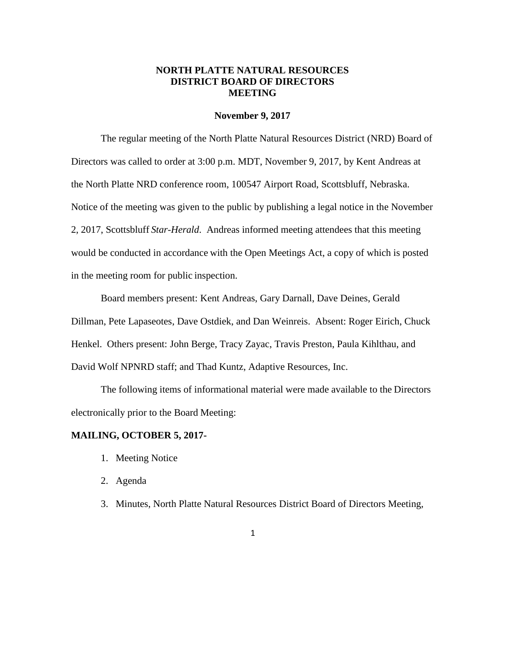## **NORTH PLATTE NATURAL RESOURCES DISTRICT BOARD OF DIRECTORS MEETING**

#### **November 9, 2017**

The regular meeting of the North Platte Natural Resources District (NRD) Board of Directors was called to order at 3:00 p.m. MDT, November 9, 2017, by Kent Andreas at the North Platte NRD conference room, 100547 Airport Road, Scottsbluff, Nebraska. Notice of the meeting was given to the public by publishing a legal notice in the November 2, 2017, Scottsbluff *Star-Herald*. Andreas informed meeting attendees that this meeting would be conducted in accordance with the Open Meetings Act, a copy of which is posted in the meeting room for public inspection.

Board members present: Kent Andreas, Gary Darnall, Dave Deines, Gerald Dillman, Pete Lapaseotes, Dave Ostdiek, and Dan Weinreis. Absent: Roger Eirich, Chuck Henkel. Others present: John Berge, Tracy Zayac, Travis Preston, Paula Kihlthau, and David Wolf NPNRD staff; and Thad Kuntz, Adaptive Resources, Inc.

The following items of informational material were made available to the Directors electronically prior to the Board Meeting:

#### **MAILING, OCTOBER 5, 2017-**

- 1. Meeting Notice
- 2. Agenda
- 3. Minutes, North Platte Natural Resources District Board of Directors Meeting,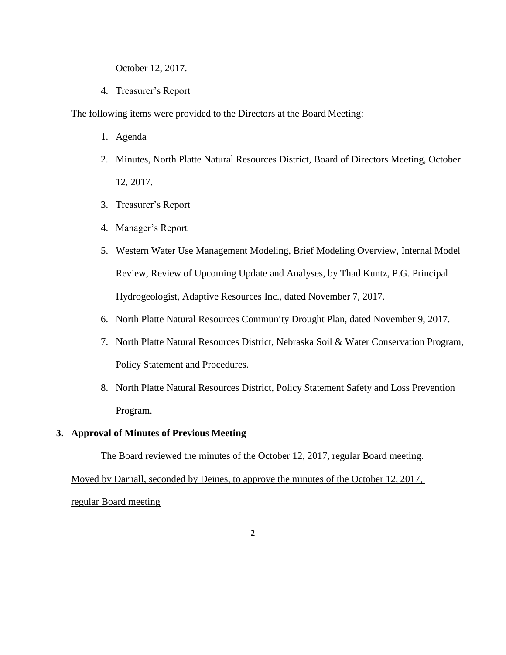October 12, 2017.

4. Treasurer's Report

The following items were provided to the Directors at the Board Meeting:

- 1. Agenda
- 2. Minutes, North Platte Natural Resources District, Board of Directors Meeting, October 12, 2017.
- 3. Treasurer's Report
- 4. Manager's Report
- 5. Western Water Use Management Modeling, Brief Modeling Overview, Internal Model Review, Review of Upcoming Update and Analyses, by Thad Kuntz, P.G. Principal Hydrogeologist, Adaptive Resources Inc., dated November 7, 2017.
- 6. North Platte Natural Resources Community Drought Plan, dated November 9, 2017.
- 7. North Platte Natural Resources District, Nebraska Soil & Water Conservation Program, Policy Statement and Procedures.
- 8. North Platte Natural Resources District, Policy Statement Safety and Loss Prevention Program.

## **3. Approval of Minutes of Previous Meeting**

The Board reviewed the minutes of the October 12, 2017, regular Board meeting.

Moved by Darnall, seconded by Deines, to approve the minutes of the October 12, 2017,

regular Board meeting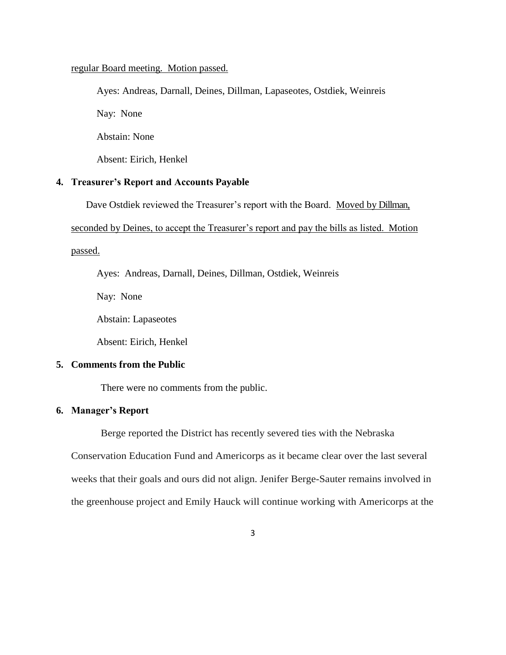#### regular Board meeting. Motion passed.

Ayes: Andreas, Darnall, Deines, Dillman, Lapaseotes, Ostdiek, Weinreis Nay: None Abstain: None Absent: Eirich, Henkel

## **4. Treasurer's Report and Accounts Payable**

Dave Ostdiek reviewed the Treasurer's report with the Board. Moved by Dillman,

seconded by Deines, to accept the Treasurer's report and pay the bills as listed. Motion

passed.

Ayes: Andreas, Darnall, Deines, Dillman, Ostdiek, Weinreis

Nay: None

Abstain: Lapaseotes

Absent: Eirich, Henkel

## **5. Comments from the Public**

There were no comments from the public.

## **6. Manager's Report**

Berge reported the District has recently severed ties with the Nebraska

Conservation Education Fund and Americorps as it became clear over the last several weeks that their goals and ours did not align. Jenifer Berge-Sauter remains involved in the greenhouse project and Emily Hauck will continue working with Americorps at the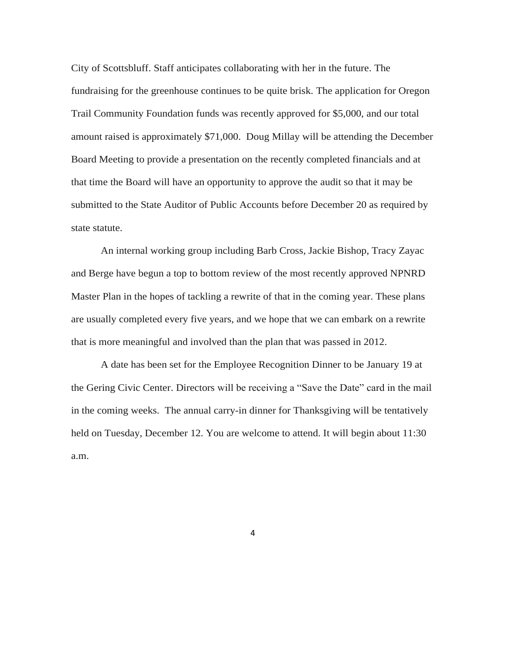City of Scottsbluff. Staff anticipates collaborating with her in the future. The fundraising for the greenhouse continues to be quite brisk. The application for Oregon Trail Community Foundation funds was recently approved for \$5,000, and our total amount raised is approximately \$71,000. Doug Millay will be attending the December Board Meeting to provide a presentation on the recently completed financials and at that time the Board will have an opportunity to approve the audit so that it may be submitted to the State Auditor of Public Accounts before December 20 as required by state statute.

An internal working group including Barb Cross, Jackie Bishop, Tracy Zayac and Berge have begun a top to bottom review of the most recently approved NPNRD Master Plan in the hopes of tackling a rewrite of that in the coming year. These plans are usually completed every five years, and we hope that we can embark on a rewrite that is more meaningful and involved than the plan that was passed in 2012.

A date has been set for the Employee Recognition Dinner to be January 19 at the Gering Civic Center. Directors will be receiving a "Save the Date" card in the mail in the coming weeks. The annual carry-in dinner for Thanksgiving will be tentatively held on Tuesday, December 12. You are welcome to attend. It will begin about 11:30 a.m.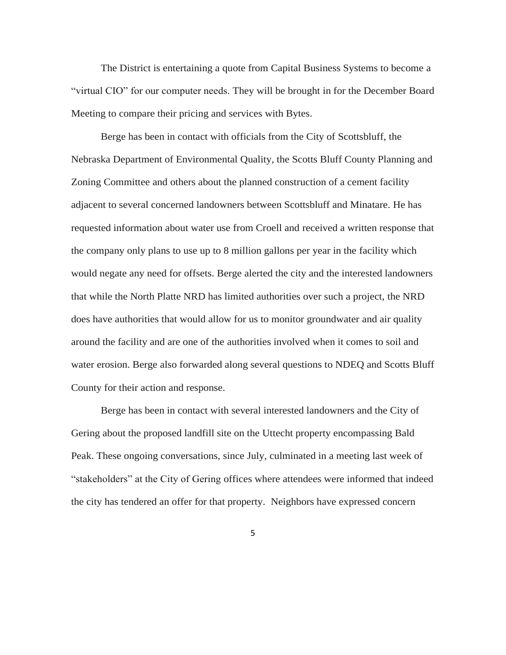The District is entertaining a quote from Capital Business Systems to become a "virtual CIO" for our computer needs. They will be brought in for the December Board Meeting to compare their pricing and services with Bytes.

Berge has been in contact with officials from the City of Scottsbluff, the Nebraska Department of Environmental Quality, the Scotts Bluff County Planning and Zoning Committee and others about the planned construction of a cement facility adjacent to several concerned landowners between Scottsbluff and Minatare. He has requested information about water use from Croell and received a written response that the company only plans to use up to 8 million gallons per year in the facility which would negate any need for offsets. Berge alerted the city and the interested landowners that while the North Platte NRD has limited authorities over such a project, the NRD does have authorities that would allow for us to monitor groundwater and air quality around the facility and are one of the authorities involved when it comes to soil and water erosion. Berge also forwarded along several questions to NDEQ and Scotts Bluff County for their action and response.

Berge has been in contact with several interested landowners and the City of Gering about the proposed landfill site on the Uttecht property encompassing Bald Peak. These ongoing conversations, since July, culminated in a meeting last week of "stakeholders" at the City of Gering offices where attendees were informed that indeed the city has tendered an offer for that property. Neighbors have expressed concern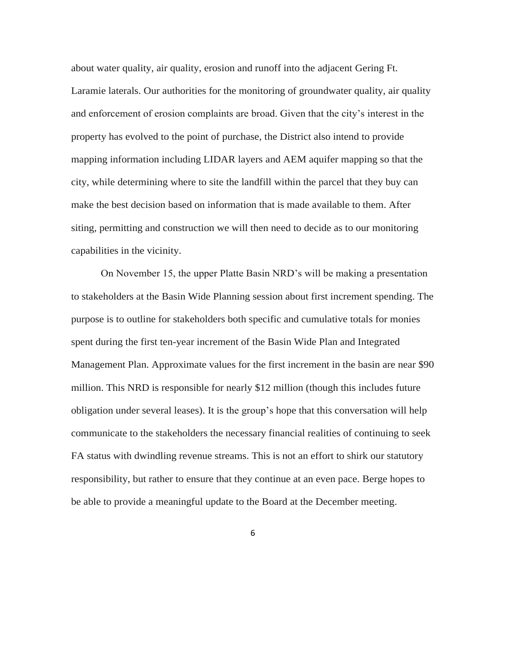about water quality, air quality, erosion and runoff into the adjacent Gering Ft. Laramie laterals. Our authorities for the monitoring of groundwater quality, air quality and enforcement of erosion complaints are broad. Given that the city's interest in the property has evolved to the point of purchase, the District also intend to provide mapping information including LIDAR layers and AEM aquifer mapping so that the city, while determining where to site the landfill within the parcel that they buy can make the best decision based on information that is made available to them. After siting, permitting and construction we will then need to decide as to our monitoring capabilities in the vicinity.

On November 15, the upper Platte Basin NRD's will be making a presentation to stakeholders at the Basin Wide Planning session about first increment spending. The purpose is to outline for stakeholders both specific and cumulative totals for monies spent during the first ten-year increment of the Basin Wide Plan and Integrated Management Plan. Approximate values for the first increment in the basin are near \$90 million. This NRD is responsible for nearly \$12 million (though this includes future obligation under several leases). It is the group's hope that this conversation will help communicate to the stakeholders the necessary financial realities of continuing to seek FA status with dwindling revenue streams. This is not an effort to shirk our statutory responsibility, but rather to ensure that they continue at an even pace. Berge hopes to be able to provide a meaningful update to the Board at the December meeting.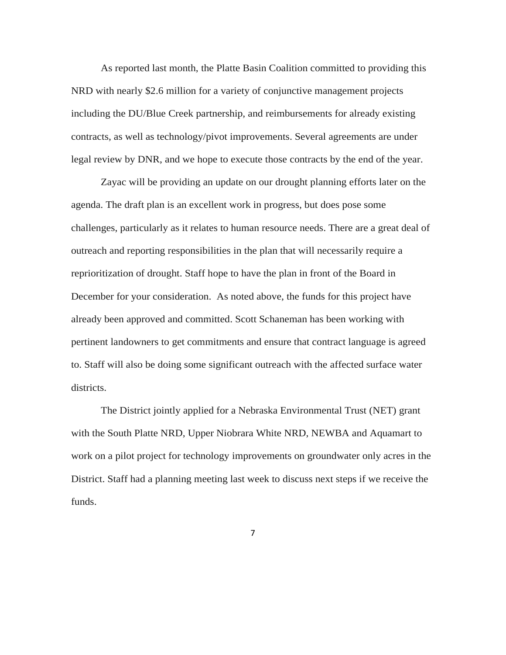As reported last month, the Platte Basin Coalition committed to providing this NRD with nearly \$2.6 million for a variety of conjunctive management projects including the DU/Blue Creek partnership, and reimbursements for already existing contracts, as well as technology/pivot improvements. Several agreements are under legal review by DNR, and we hope to execute those contracts by the end of the year.

Zayac will be providing an update on our drought planning efforts later on the agenda. The draft plan is an excellent work in progress, but does pose some challenges, particularly as it relates to human resource needs. There are a great deal of outreach and reporting responsibilities in the plan that will necessarily require a reprioritization of drought. Staff hope to have the plan in front of the Board in December for your consideration. As noted above, the funds for this project have already been approved and committed. Scott Schaneman has been working with pertinent landowners to get commitments and ensure that contract language is agreed to. Staff will also be doing some significant outreach with the affected surface water districts.

The District jointly applied for a Nebraska Environmental Trust (NET) grant with the South Platte NRD, Upper Niobrara White NRD, NEWBA and Aquamart to work on a pilot project for technology improvements on groundwater only acres in the District. Staff had a planning meeting last week to discuss next steps if we receive the funds.

7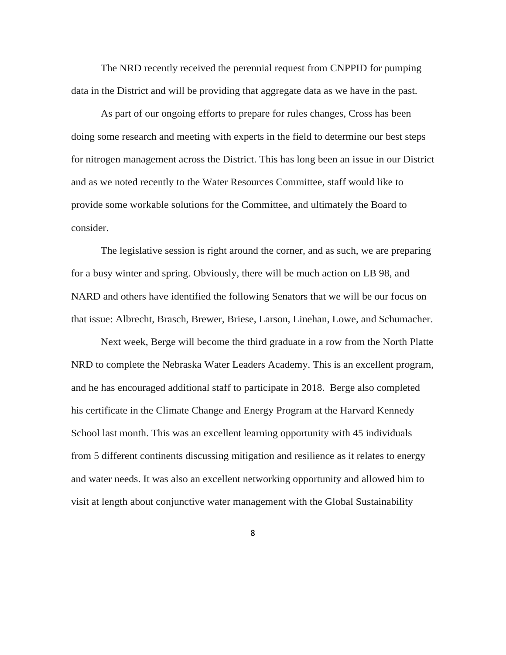The NRD recently received the perennial request from CNPPID for pumping data in the District and will be providing that aggregate data as we have in the past.

As part of our ongoing efforts to prepare for rules changes, Cross has been doing some research and meeting with experts in the field to determine our best steps for nitrogen management across the District. This has long been an issue in our District and as we noted recently to the Water Resources Committee, staff would like to provide some workable solutions for the Committee, and ultimately the Board to consider.

The legislative session is right around the corner, and as such, we are preparing for a busy winter and spring. Obviously, there will be much action on LB 98, and NARD and others have identified the following Senators that we will be our focus on that issue: Albrecht, Brasch, Brewer, Briese, Larson, Linehan, Lowe, and Schumacher.

Next week, Berge will become the third graduate in a row from the North Platte NRD to complete the Nebraska Water Leaders Academy. This is an excellent program, and he has encouraged additional staff to participate in 2018. Berge also completed his certificate in the Climate Change and Energy Program at the Harvard Kennedy School last month. This was an excellent learning opportunity with 45 individuals from 5 different continents discussing mitigation and resilience as it relates to energy and water needs. It was also an excellent networking opportunity and allowed him to visit at length about conjunctive water management with the Global Sustainability

8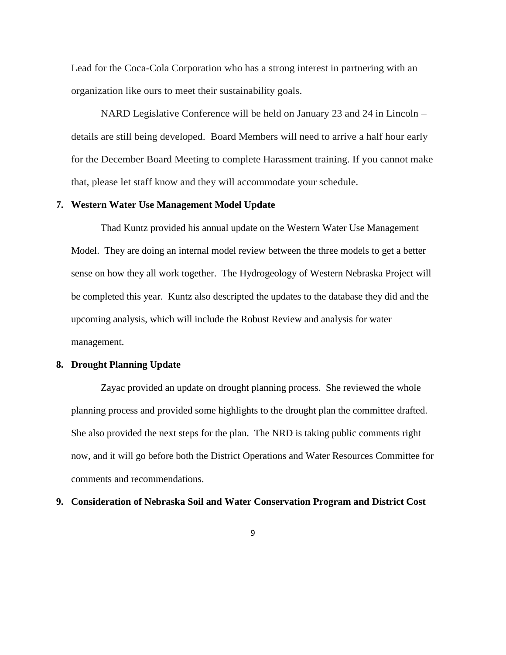Lead for the Coca-Cola Corporation who has a strong interest in partnering with an organization like ours to meet their sustainability goals.

NARD Legislative Conference will be held on January 23 and 24 in Lincoln – details are still being developed. Board Members will need to arrive a half hour early for the December Board Meeting to complete Harassment training. If you cannot make that, please let staff know and they will accommodate your schedule.

#### **7. Western Water Use Management Model Update**

Thad Kuntz provided his annual update on the Western Water Use Management Model. They are doing an internal model review between the three models to get a better sense on how they all work together. The Hydrogeology of Western Nebraska Project will be completed this year. Kuntz also descripted the updates to the database they did and the upcoming analysis, which will include the Robust Review and analysis for water management.

#### **8. Drought Planning Update**

Zayac provided an update on drought planning process. She reviewed the whole planning process and provided some highlights to the drought plan the committee drafted. She also provided the next steps for the plan. The NRD is taking public comments right now, and it will go before both the District Operations and Water Resources Committee for comments and recommendations.

### **9. Consideration of Nebraska Soil and Water Conservation Program and District Cost**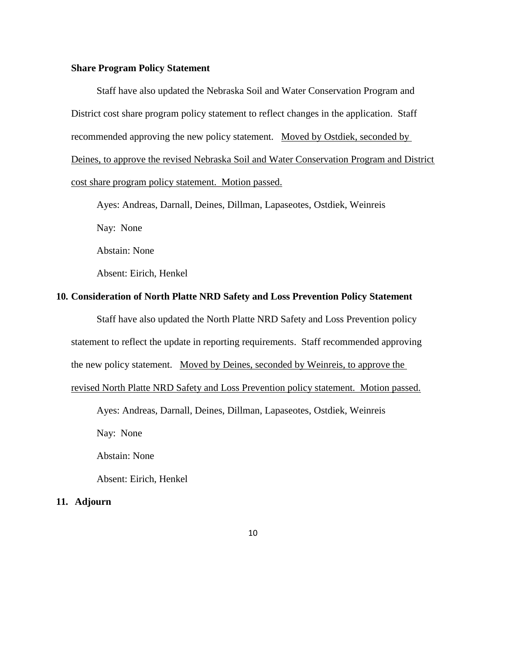#### **Share Program Policy Statement**

Staff have also updated the Nebraska Soil and Water Conservation Program and District cost share program policy statement to reflect changes in the application. Staff recommended approving the new policy statement. Moved by Ostdiek, seconded by Deines, to approve the revised Nebraska Soil and Water Conservation Program and District cost share program policy statement. Motion passed.

Ayes: Andreas, Darnall, Deines, Dillman, Lapaseotes, Ostdiek, Weinreis

Nay: None

Abstain: None

Absent: Eirich, Henkel

## **10. Consideration of North Platte NRD Safety and Loss Prevention Policy Statement**

Staff have also updated the North Platte NRD Safety and Loss Prevention policy

statement to reflect the update in reporting requirements. Staff recommended approving

the new policy statement. Moved by Deines, seconded by Weinreis, to approve the

revised North Platte NRD Safety and Loss Prevention policy statement. Motion passed.

Ayes: Andreas, Darnall, Deines, Dillman, Lapaseotes, Ostdiek, Weinreis

Nay: None

Abstain: None

Absent: Eirich, Henkel

**11. Adjourn**